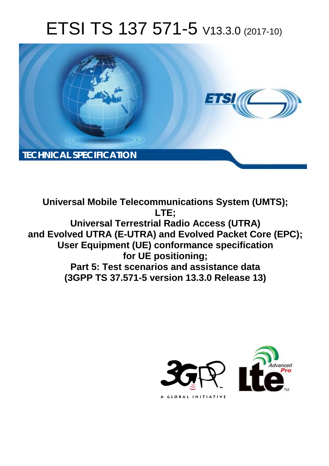# ETSI TS 137 571-5 V13.3.0 (2017-10)



**Universal Mobile Telecommunications System (UMTS); LTE; Universal Terrestrial Radio Access (UTRA) and Evolved UTRA (E-UTRA) and Evolved Packet Core (EPC); User Equipment (UE) conformance specification for UE positioning; Part 5: Test scenarios and assistance data (3GPP TS 37.571-5 version 13.3.0 Release 13)** 

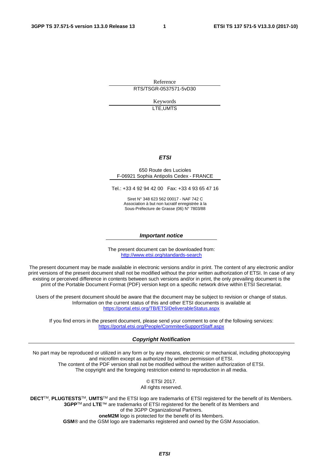Reference RTS/TSGR-0537571-5vD30

> Keywords LTE,UMTS

#### *ETSI*

#### 650 Route des Lucioles F-06921 Sophia Antipolis Cedex - FRANCE

Tel.: +33 4 92 94 42 00 Fax: +33 4 93 65 47 16

Siret N° 348 623 562 00017 - NAF 742 C Association à but non lucratif enregistrée à la Sous-Préfecture de Grasse (06) N° 7803/88

#### *Important notice*

The present document can be downloaded from: <http://www.etsi.org/standards-search>

The present document may be made available in electronic versions and/or in print. The content of any electronic and/or print versions of the present document shall not be modified without the prior written authorization of ETSI. In case of any existing or perceived difference in contents between such versions and/or in print, the only prevailing document is the print of the Portable Document Format (PDF) version kept on a specific network drive within ETSI Secretariat.

Users of the present document should be aware that the document may be subject to revision or change of status. Information on the current status of this and other ETSI documents is available at <https://portal.etsi.org/TB/ETSIDeliverableStatus.aspx>

If you find errors in the present document, please send your comment to one of the following services: <https://portal.etsi.org/People/CommiteeSupportStaff.aspx>

#### *Copyright Notification*

No part may be reproduced or utilized in any form or by any means, electronic or mechanical, including photocopying and microfilm except as authorized by written permission of ETSI. The content of the PDF version shall not be modified without the written authorization of ETSI. The copyright and the foregoing restriction extend to reproduction in all media.

> © ETSI 2017. All rights reserved.

**DECT**TM, **PLUGTESTS**TM, **UMTS**TM and the ETSI logo are trademarks of ETSI registered for the benefit of its Members. **3GPP**TM and **LTE**™ are trademarks of ETSI registered for the benefit of its Members and of the 3GPP Organizational Partners. **oneM2M** logo is protected for the benefit of its Members.

**GSM**® and the GSM logo are trademarks registered and owned by the GSM Association.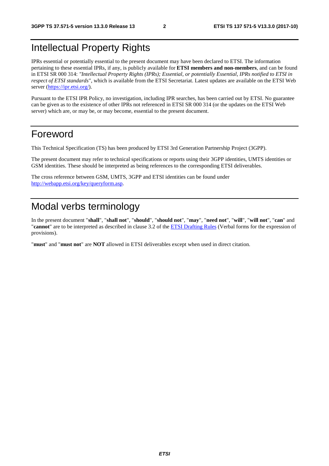### Intellectual Property Rights

IPRs essential or potentially essential to the present document may have been declared to ETSI. The information pertaining to these essential IPRs, if any, is publicly available for **ETSI members and non-members**, and can be found in ETSI SR 000 314: *"Intellectual Property Rights (IPRs); Essential, or potentially Essential, IPRs notified to ETSI in respect of ETSI standards"*, which is available from the ETSI Secretariat. Latest updates are available on the ETSI Web server ([https://ipr.etsi.org/\)](https://ipr.etsi.org/).

Pursuant to the ETSI IPR Policy, no investigation, including IPR searches, has been carried out by ETSI. No guarantee can be given as to the existence of other IPRs not referenced in ETSI SR 000 314 (or the updates on the ETSI Web server) which are, or may be, or may become, essential to the present document.

#### Foreword

This Technical Specification (TS) has been produced by ETSI 3rd Generation Partnership Project (3GPP).

The present document may refer to technical specifications or reports using their 3GPP identities, UMTS identities or GSM identities. These should be interpreted as being references to the corresponding ETSI deliverables.

The cross reference between GSM, UMTS, 3GPP and ETSI identities can be found under [http://webapp.etsi.org/key/queryform.asp.](http://webapp.etsi.org/key/queryform.asp)

# Modal verbs terminology

In the present document "**shall**", "**shall not**", "**should**", "**should not**", "**may**", "**need not**", "**will**", "**will not**", "**can**" and "**cannot**" are to be interpreted as described in clause 3.2 of the [ETSI Drafting Rules](https://portal.etsi.org/Services/editHelp!/Howtostart/ETSIDraftingRules.aspx) (Verbal forms for the expression of provisions).

"**must**" and "**must not**" are **NOT** allowed in ETSI deliverables except when used in direct citation.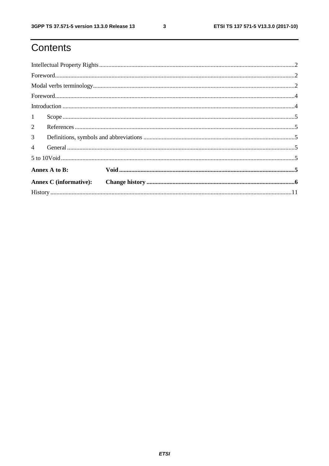ETSI TS 137 571-5 V13.3.0 (2017-10)

# Contents

| 1              |                               |  |
|----------------|-------------------------------|--|
| $\overline{2}$ |                               |  |
| $\mathfrak{Z}$ |                               |  |
| $\overline{4}$ |                               |  |
|                |                               |  |
|                | Annex A to B:                 |  |
|                | <b>Annex C</b> (informative): |  |
|                |                               |  |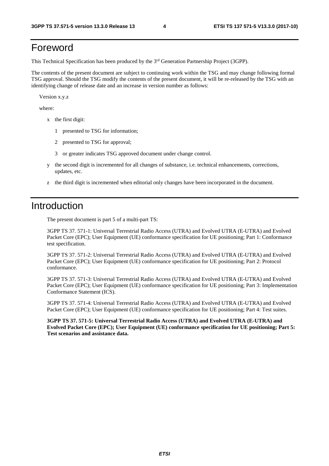### Foreword

This Technical Specification has been produced by the 3rd Generation Partnership Project (3GPP).

The contents of the present document are subject to continuing work within the TSG and may change following formal TSG approval. Should the TSG modify the contents of the present document, it will be re-released by the TSG with an identifying change of release date and an increase in version number as follows:

Version x.y.z

where:

- x the first digit:
	- 1 presented to TSG for information;
	- 2 presented to TSG for approval;
	- 3 or greater indicates TSG approved document under change control.
- y the second digit is incremented for all changes of substance, i.e. technical enhancements, corrections, updates, etc.
- z the third digit is incremented when editorial only changes have been incorporated in the document.

### Introduction

The present document is part 5 of a multi-part TS:

3GPP TS 37. 571-1: Universal Terrestrial Radio Access (UTRA) and Evolved UTRA (E-UTRA) and Evolved Packet Core (EPC); User Equipment (UE) conformance specification for UE positioning; Part 1: Conformance test specification.

3GPP TS 37. 571-2: Universal Terrestrial Radio Access (UTRA) and Evolved UTRA (E-UTRA) and Evolved Packet Core (EPC); User Equipment (UE) conformance specification for UE positioning; Part 2: Protocol conformance.

3GPP TS 37. 571-3: Universal Terrestrial Radio Access (UTRA) and Evolved UTRA (E-UTRA) and Evolved Packet Core (EPC); User Equipment (UE) conformance specification for UE positioning; Part 3: Implementation Conformance Statement (ICS).

3GPP TS 37. 571-4: Universal Terrestrial Radio Access (UTRA) and Evolved UTRA (E-UTRA) and Evolved Packet Core (EPC); User Equipment (UE) conformance specification for UE positioning; Part 4: Test suites.

**3GPP TS 37. 571-5: Universal Terrestrial Radio Access (UTRA) and Evolved UTRA (E-UTRA) and Evolved Packet Core (EPC); User Equipment (UE) conformance specification for UE positioning; Part 5: Test scenarios and assistance data.**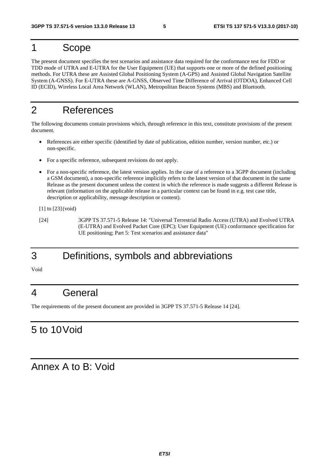### 1 Scope

The present document specifies the test scenarios and assistance data required for the conformance test for FDD or TDD mode of UTRA and E-UTRA for the User Equipment (UE) that supports one or more of the defined positioning methods. For UTRA these are Assisted Global Positioning System (A-GPS) and Assisted Global Navigation Satellite System (A-GNSS). For E-UTRA these are A-GNSS, Observed Time Difference of Arrival (OTDOA), Enhanced Cell ID (ECID), Wireless Local Area Network (WLAN), Metropolitan Beacon Systems (MBS) and Bluetooth.

### 2 References

The following documents contain provisions which, through reference in this text, constitute provisions of the present document.

- References are either specific (identified by date of publication, edition number, version number, etc.) or non-specific.
- For a specific reference, subsequent revisions do not apply.
- For a non-specific reference, the latest version applies. In the case of a reference to a 3GPP document (including a GSM document), a non-specific reference implicitly refers to the latest version of that document in the same Release as the present document unless the context in which the reference is made suggests a different Release is relevant (information on the applicable release in a particular context can be found in e.g. test case title, description or applicability, message description or content).

[1] to [23] (void)

[24] 3GPP TS 37.571-5 Release 14: "Universal Terrestrial Radio Access (UTRA) and Evolved UTRA (E-UTRA) and Evolved Packet Core (EPC); User Equipment (UE) conformance specification for UE positioning; Part 5: Test scenarios and assistance data"

# 3 Definitions, symbols and abbreviations

Void

#### 4 General

The requirements of the present document are provided in 3GPP TS 37.571-5 Release 14 [24].

### 5 to 10 Void

Annex A to B: Void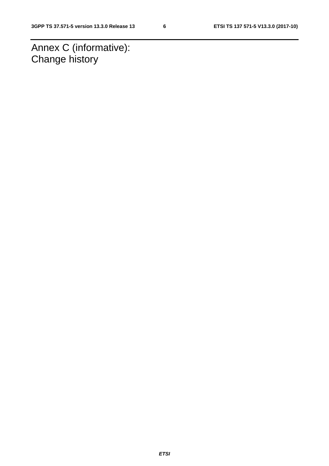Annex C (informative): Change history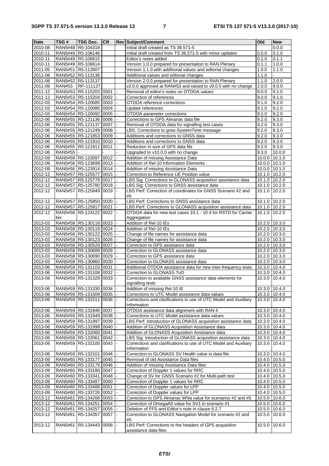| <b>Date</b>        | TSG#          | <b>TSG Doc.</b>                                          | <b>CR</b> |                | <b>Rev Subject/Comment</b>                                                                                   | Old                            | <b>New</b>              |
|--------------------|---------------|----------------------------------------------------------|-----------|----------------|--------------------------------------------------------------------------------------------------------------|--------------------------------|-------------------------|
| 2010-08            |               | RAN5#48 R5-104318                                        |           |                | Initial draft created as TS 36.571-5                                                                         |                                | 0.0.0                   |
| 2010-11            |               | RAN5#49 R5-106146                                        |           |                | Initial draft created from TS 36.571-5 with minor updates                                                    | 0.0.0                          | 0.1.0                   |
| 2010-11            |               | RAN5#49 R5-106615                                        |           |                | Editor's notes added                                                                                         | 0.1.0                          | 0.1.1                   |
| 2010-11            |               | RAN5#49 R5-106614                                        |           |                | Version 1.0.0 prepared for presentation to RAN Plenary                                                       | 0.1.1                          | 1.0.0                   |
| 2011-05<br>2011-08 |               | RAN5#51 R5-112807<br>RAN5#52 R5-113136                   |           |                | Version 1.1.0 with additional values and editorial changes<br>Additional values and editorial changes        | 1.0.0<br>$\overline{1.1.0}$    | 1.1.0<br>$\overline{a}$ |
| 2011-08            |               | RAN5#52 R5-113137                                        |           |                | Version 2.0.0 prepared for presentation to RAN Plenary                                                       | 1.1.0                          | 2.0.0                   |
| 2011-09            | <b>RAN#53</b> | RP-111127                                                |           |                | v2.0.0 approved at RAN#53 and raised to v9.0.0 with no change                                                | 2.0.0                          | 9.0.0                   |
| 2011-12            |               | RAN5#53 R5-115203 0001                                   |           |                | Removal of editor's notes on OTDOA values                                                                    | 9.0.0                          | 9.1.0                   |
| 2011-12            |               | RAN5#53 R5-115204 0002                                   |           | $\Box$         | Correction of references                                                                                     | 9.0.0                          | 9.1.0                   |
| 2012-03            |               | RAN5#54 R5-120085 0003                                   |           |                | OTDOA reference corrections                                                                                  | 9.1.0                          | 9.2.0                   |
| 2012-03            |               | RAN5#54 R5-120086 0004                                   |           |                | Update references                                                                                            | 9.1.0                          | 9.2.0                   |
| 2012-03            |               | RAN5#54 R5-120092 0005                                   |           | $\blacksquare$ | OTDOA parameter corrections                                                                                  | 9.1.0                          | 9.2.0                   |
| 2012-06            |               | RAN5#55 R5-121136 0006                                   |           |                | Corrections to GPS Almanac data file                                                                         | 9.2.0                          | 9.3.0                   |
| 2012-06<br>2012-06 |               | RAN5#55 R5-121137 0007<br>RAN5#55   R5-121249   0008     |           | $\blacksquare$ | Removal of OTDOA data for signalling test cases<br>LBS: Corrections to gnss-SystemTime message               | 9.2.0<br>9.2.0                 | 9.3.0<br>9.3.0          |
| 2012-06            |               | RAN5#55 R5-121853 0009                                   |           |                | Additions and corrections to GNSS data                                                                       | 9.2.0                          | 9.3.0                   |
| 2012-06            |               | RAN5#55 R5-121910 0010                                   |           |                | Additions and corrections to GNSS data                                                                       | 9.2.0                          | 9.3.0                   |
| 2012-06            |               | RAN5#55   R5-121911   0011                               |           | ä,             | Reduction in size of GPS data file                                                                           | 9.2.0                          | 9.3.0                   |
| 2012-06            | RAN5#55  -    |                                                          |           |                | Upgraded to v10.0.0 with no change.                                                                          | 9.3.0                          | 10.0.0                  |
| 2012-09            |               | RAN5#56   R5-123097   0012                               |           |                | Addition of missing Assistance Data                                                                          | 10.0.0                         | 10.1.0                  |
| 2012-09            |               | RAN5#56 R5-123699 0013                                   |           | $\blacksquare$ | Addition of Rel-10 Information Elements                                                                      | 10.0.0                         | 10.1.0                  |
| 2012-09            |               | RAN5#56 R5-123914 0014                                   |           |                | Addition of missing Assistance Data                                                                          | $10.0.0$ 10.1.0                |                         |
| 2012-12            |               | RAN5#57 R5-125577 0015                                   |           |                | Correction to Reference UE Position value                                                                    | 10.1.0 10.2.0                  |                         |
| $2012 - 12$        |               | RAN5#57   R5-125779   0017                               |           |                | LBS Sig: Corrections to GLONASS acquisition assistance data                                                  | 10.1.0 10.2.0                  |                         |
| 2012-12<br>2012-12 |               | RAN5#57 R5-125780 0018<br>RAN5#57 R5-125849 0019         |           |                | LBS Sig: Corrections to GNSS assistance data<br>LBS Perf: Correction of coordinates for GNSS Scenario #2 and | 10.1.0<br>10.1.0               | 10.2.0<br>10.2.0        |
|                    |               |                                                          |           |                | #5                                                                                                           |                                |                         |
| 2012-12            |               | RAN5#57 R5-125850 0020                                   |           |                | LBS Perf: Corrections to GNSS assistance data                                                                | 10.1.0                         | 10.2.0                  |
| 2012-12            |               | RAN5#57   R5-125917   0021                               |           |                | LBS Perf: Corrections to GLONASS acquisition assistance data                                                 | 10.1.0                         | 10.2.0                  |
| 2012-12            |               | RAN5#56 R5-124122 0022                                   |           |                | OTDOA data for new test cases 10.1 - 10.4 for RSTD for Carrier                                               | 10.1.0                         | 10.2.0                  |
|                    | bis           |                                                          |           |                | Aggregation                                                                                                  |                                |                         |
| 2013-03            |               | RAN5#58 R5-130118 0023                                   |           |                | Addition of Rel-10 IEs                                                                                       | 10.2.0                         | 10.3.0                  |
| 2013-03<br>2013-03 |               | RAN5#58 R5-130119 0024<br>RAN5#58   R5-130122   0025     |           |                | Addition of Rel-10 IEs<br>Change of file names for assistance data                                           | 10.2.0 10.3.0<br>10.2.0 10.3.0 |                         |
| 2013-03            |               | RAN5#58 R5-130123 0026                                   |           | $\blacksquare$ | Change of file names for assistance data                                                                     | 10.2.0 10.3.0                  |                         |
| 2013-03            |               | RAN5#58 R5-130529 0027                                   |           |                | Correction to GPS assistance data                                                                            | $\overline{10.2.0}$ 10.3.0     |                         |
| 2013-03            |               | RAN5#58 R5-130689 0028                                   |           |                | Correction to GLONASS assistance data                                                                        | 10.2.0 10.3.0                  |                         |
| 2013-03            |               | RAN5#58   R5-130690   0029                               |           | $\blacksquare$ | Correction to GPS assistance data                                                                            | 10.2.0 10.3.0                  |                         |
| 2013-03            |               | RAN5#58 R5-130960 0030                                   |           |                | Correction to GLONASS assistance data                                                                        | 10.2.0 10.3.0                  |                         |
| 2013-06            |               | RAN5#59 R5-131103 0031                                   |           |                | Additional OTDOA assistance data for new inter-frequency tests                                               | 10.3.0 10.4.0                  |                         |
| 2013-06            |               | RAN5#59 R5-131108 0032                                   |           |                | Correction to GLONASS ToD                                                                                    | 10.3.0                         | 10.4.0                  |
| 2013-06            |               | RAN5#59 R5-131329 0033                                   |           |                | Correction to available GNSS assistance data elements for<br>signalling tests                                | 10.3.0                         | 10.4.0                  |
| 2013-06            |               | RAN5#59   R5-131330   0034   -                           |           |                | Addition of missing Rel-10 IE                                                                                | 10.3.0 10.4.0                  |                         |
| 2013-06            |               | RAN5#59 R5-131509 0035                                   |           |                | Corrections to UTC Model assistance data values                                                              | 10.3.0 10.4.0                  |                         |
| 2013-06            |               | RAN5#59   R5-131511   0036                               |           | $\mathbf{I}$ – | Corrections and clarifications to use of UTC Model and Auxiliary                                             | 10.3.0 10.4.0                  |                         |
|                    |               |                                                          |           |                | Information                                                                                                  |                                |                         |
| 2013-06            |               | RAN5#59 R5-131948 0037                                   |           |                | OTDOA assistance data alignment with RAN 4                                                                   | 10.3.0                         | 10.4.0                  |
| 2013-06            |               | RAN5#59 R5-131949 0038                                   |           |                | Corrections to UTC Model assistance data values                                                              | 10.3.0 10.4.0                  |                         |
| 2013-06            |               | RAN5#59 R5-131997 0039                                   |           |                | LBS Perf: Introduction of GLONASS acquisition assistance data                                                | 10.3.0 10.4.0                  |                         |
| 2013-06<br>2013-06 |               | RAN5#59 R5-131998 0040<br>RAN5#59 R5-132060 0041         |           |                | Addition of GLONASS Acquisition Assistance data<br>Addition of GLONASS Acquisition Assistance data           | 10.3.0<br>10.3.0               | 10.4.0<br>10.4.0        |
| 2013-06            |               | RAN5#59 R5-132061 0042                                   |           |                | LBS Sig: Introduction of GLONASS acquisition assistance data                                                 | 10.3.0                         | 10.4.0                  |
| 2013-06            |               | RAN5#59 R5-132100 0043                                   |           |                | Corrections and clarifications to use of UTC Model and Auxiliary                                             | 10.3.0                         | 10.4.0                  |
|                    |               |                                                          |           |                | Information                                                                                                  |                                |                         |
| 2013-06            |               | RAN5#59 R5-132101 0044                                   |           |                | Correction to GLONASS SV Health value in data file                                                           | 10.3.0                         | 10.4.0                  |
| 2013-09            |               | RAN5#60 R5-133177 0045                                   |           | I –            | Removal of old Assistance Data files                                                                         | 10.4.0 10.5.0                  |                         |
| 2013-09            |               | RAN5#60   R5-133179   0046                               |           |                | Addition of missing Assistance Data files                                                                    | 10.4.0 10.5.0                  |                         |
| 2013-09            |               | RAN5#60 R5-133180 0047                                   |           |                | Correction of Doppler 1 values for RRC                                                                       | 10.4.0 10.5.0                  |                         |
| 2013-09<br>2013-09 |               | RAN5#60 R5-133341 0048                                   |           |                | Change of SV for GNSS Scenario #2 for Multi-path test<br>Correction of Doppler 1 values for RRC              | 10.4.0 10.5.0                  |                         |
| 2013-09            |               | RAN5#60   R5-133487   0050<br>RAN5#60   R5-133488   0051 |           |                | Correction of Doppler values for LPP                                                                         | 10.4.0 10.5.0<br>10.4.0 10.5.0 |                         |
| 2013-09            |               | RAN5#60 R5-133726 0052                                   |           |                | Correction of Doppler values for LPP                                                                         | 10.4.0                         | 10.5.0                  |
| 2013-12            |               | RAN5#61   R5-134206   0053                               |           |                | Correction to GPS Almanac WNa value for scenarios #2 and #5                                                  | 10.5.0 10.6.0                  |                         |
| 2013-12            |               | RAN5#61   R5-134251   0054                               |           |                | Correction of OmegaA0 value for SV1 in scenario #1                                                           | 10.5.0 10.6.0                  |                         |
| 2013-12            |               | RAN5#61   R5-134257   0055                               |           |                | Deletion of FFS and Editor's note in clause 6.2.7                                                            | 10.5.0                         | $\sqrt{10.6.0}$         |
| 2013-12            |               | RAN5#61   R5-134357   0057   -                           |           |                | Correction to GLONASS Navigation Model for scenario #2 and                                                   | 10.5.0                         | 10.6.0                  |
|                    |               |                                                          |           |                | #5                                                                                                           |                                |                         |
| 2013-12            |               | RAN5#61   R5-134443   0058                               |           |                | LBS Perf: Corrections to the headers of GPS acquisition<br>assistance data files                             | 10.5.0                         | 10.6.0                  |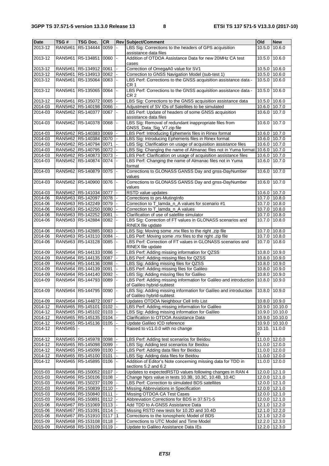| Date               | TSG#           | <b>TSG Doc.</b>                                      | <b>CR</b> |                          | <b>Rev Subject/Comment</b>                                                                          | Old                     | <b>New</b>                |
|--------------------|----------------|------------------------------------------------------|-----------|--------------------------|-----------------------------------------------------------------------------------------------------|-------------------------|---------------------------|
| 2013-12            | RAN5#61        | R5-134444 0059                                       |           | $\blacksquare$           | LBS Sig: Corrections to the headers of GPS acquisition<br>assistance data files                     | 10.5.0                  | 10.6.0                    |
| 2013-12            |                | RAN5#61 R5-134851 0060                               |           |                          | Addition of OTDOA Assistance Data for new 20MHz CA test<br>cases                                    | 10.5.0                  | 10.6.0                    |
| 2013-12            | RAN5#61        | R5-134912 0061                                       |           |                          | Correction of OmegaA0 value for SV1                                                                 | 10.5.0                  | 10.6.0                    |
| 2013-12            |                | RAN5#61   R5-134913   0062                           |           |                          | Correction to GNSS Navigation Model (sub-test 1)                                                    | 10.5.0                  | 10.6.0                    |
| 2013-12            |                | RAN5#61 R5-135064 0063                               |           |                          | LBS Perf: Corrections to the GNSS acquisition assistance data -<br>CR 1                             | 10.5.0                  | 10.6.0                    |
| 2013-12            |                | RAN5#61 R5-135065 0064                               |           |                          | LBS Perf: Corrections to the GNSS acquisition assistance data -<br>CR 2                             | 10.5.0                  | 10.6.0                    |
| 2013-12            |                | RAN5#61   R5-135072   0065                           |           |                          | LBS Sig: Corrections to the GNSS acquisition assistance data                                        | 10.5.0                  | 10.6.0                    |
| 2014-03            |                | RAN5#62 R5-140198 0066                               |           |                          | Adjustment of SV IDs of Satellites to be simulated                                                  | 10.6.0                  | 10.7.0                    |
| 2014-03            |                | RAN5#62 R5-140377                                    | 0067      |                          | LBS Perf: Update of headers of some GNSS acquisition<br>assistance data files                       | 10.6.0                  | 10.7.0                    |
| 2014-03            |                | RAN5#62 R5-140378 0068                               |           |                          | LBS Sig: Removal of redundant inappropriate files from<br>GNSS_Data_Sig_V7.zip file                 | 10.6.0                  | 10.7.0                    |
| 2014-03            |                | RAN5#62   R5-140383   0069                           |           |                          | LBS Perf: Introducing Ephemeris files in Rinex format                                               | 10.6.0                  | 10.7.0                    |
| 2014-03            |                | RAN5#62 R5-140384 0070                               |           |                          | LBS Sig: Introducing Ephemeris files in Rinex format                                                | 10.6.0                  | 10.7.0                    |
| 2014-03            |                | RAN5#62 R5-140794 0071                               |           |                          | LBS Sig: Clarification on usage of acquisition assistance files                                     | 10.6.0 10.7.0           |                           |
| 2014-03            |                | RAN5#62 R5-140795 0072                               |           |                          | LBS Sig: Changing the name of Almanac files not in Yuma format                                      | 10.6.0                  | 10.7.0                    |
| 2014-03            |                | RAN5#62 R5-140873 0073                               |           |                          | LBS Perf: Clarification on usage of acquisition assistance files                                    | 10.6.0                  | 10.7.0                    |
| 2014-03            |                | RAN5#62 R5-140874 0074                               |           |                          | LBS Perf: Changing the name of Almanac files not in Yuma<br>format                                  | 10.6.0                  | 10.7.0                    |
| 2014-03            |                | RAN5#62 R5-140879 0075                               |           |                          | Corrections to GLONASS GANSS Day and gnss-DayNumber<br>values                                       | 10.6.0                  | 10.7.0                    |
| 2014-03            |                | RAN5#62 R5-140900 0076                               |           |                          | Corrections to GLONASS GANSS Day and gnss-DayNumber<br>values                                       | 10.6.0                  | 10.7.0                    |
| 2014-03            |                | RAN5#62 R5-141034 0077                               |           |                          | RSTD value updates                                                                                  | 10.6.0                  | 10.7.0                    |
| 2014-06            |                | RAN5#63 R5-142097 0078                               |           |                          | Corrections to prs-MutingInfo                                                                       | 10.7.0 10.8.0           |                           |
| 2014-06            |                | RAN5#63 R5-142249 0079                               |           |                          | Correction to T_lamda_n_A values for scenario #1                                                    | 10.7.0 10.8.0           |                           |
| 2014-06            |                | RAN5#63 R5-142250 0080                               |           |                          | Correction to T_lamda_n_A values                                                                    | 10.7.0                  | 10.8.0                    |
| 2014-06            |                | RAN5#63 R5-142252 0081                               |           |                          | Clarification of use of satellite simulator                                                         | 10.7.0                  | 10.8.0                    |
| 2014-06            |                | RAN5#63 R5-142884 0082                               |           |                          | LBS Sig: Correction of FT values in GLONASS scenarios and<br>RINEX file update                      | 10.7.0                  | 10.8.0                    |
| 2014-06            |                | RAN5#63 R5-142885 0083                               |           |                          | LBS Sig: Moving some .rnx files to the right .zip file                                              | 10.7.0                  | 10.8.0                    |
| 2014-06            |                | RAN5#63 R5-143110 0084                               |           |                          | LBS Perf: Moving some .rnx files to the right .zip file                                             | 10.7.0                  | 10.8.0                    |
| 2014-06            |                | RAN5#63 R5-143128 0085                               |           |                          | LBS Perf: Correction of FT values in GLONASS scenarios and<br>RINEX file update                     | 10.7.0                  | 10.8.0                    |
| 2014-09            |                | RAN5#64 R5-144133 0086                               |           |                          | LBS Perf: Adding missing information for QZSS                                                       | 10.8.0                  | 10.9.0                    |
| 2014-09            |                | RAN5#64 R5-144135 0087                               |           |                          | LBS Perf: Adding missing files for QZSS                                                             | 10.8.0 10.9.0           |                           |
| 2014-09            |                | RAN5#64   R5-144136   0088                           |           |                          | LBS Sig: Adding missing files for QZSS<br>LBS Perf: Adding missing files for Galileo                | 10.8.0 10.9.0           |                           |
| 2014-09<br>2014-09 |                | RAN5#64   R5-144139   0091<br>RAN5#64 R5-144140 0092 |           |                          | LBS Sig: Adding missing files for Galileo                                                           | 10.8.0 10.9.0<br>10.8.0 | 10.9.0                    |
| 2014-09            |                | RAN5#64 R5-144793 0089                               |           |                          | LBS Perf: Adding missing information for Galileo and introduction                                   | 10.8.0                  | 10.9.0                    |
| 2014-09            |                | RAN5#64   R5-144795   0090   -                       |           |                          | of Galileo hybrid-subtest<br>LBS Sig: Adding missing information for Galileo and introduction       | 10.8.0 10.9.0           |                           |
|                    |                |                                                      |           |                          | of Galileo hybrid-subtest                                                                           |                         |                           |
| 2014-09            |                | RAN5#64 R5-144872 0097                               |           | $\blacksquare$           | Updates OTDOA Neighbour Cell Info List                                                              | 10.8.0                  | 10.9.0                    |
| 2014-12<br>2014-12 |                | RAN5#65 R5-145101 0102<br>RAN5#65   R5-145102 0103   |           |                          | LBS Perf: Adding missing information for Galileo<br>LBS Sig: Adding missing information for Galileo | 10.9.0                  | 10.9.0 10.10.0<br>10.10.0 |
| $2014 - 12$        |                | RAN5#65   R5-145135   0104                           |           |                          | Clarification to OTDOA Assistance Data                                                              |                         | 10.9.0 10.10.0            |
| 2014-12            |                | RAN5#65 R5-145136 0105                               |           | $\blacksquare$           | Update Galileo ICD reference                                                                        | 10.9.0                  | 10.10.0                   |
| 2014-12            | <b>RAN5#65</b> |                                                      |           |                          | Raised to v11.0.0 with no change                                                                    | 10.10.<br>0             | 11.0.0                    |
| 2014-12            |                | RAN5#65   R5-145978   0098                           |           | $\blacksquare$           | LBS Perf: Adding test scenarios for Beidou                                                          | $\overline{11.0.0}$     | 12.0.0                    |
| 2014-12            |                | RAN5#65 R5-145098 0099                               |           |                          | LBS Sig: Adding test scenarios for Beidou                                                           | 11.0.0 12.0.0           |                           |
| 2014-12            |                | RAN5#65   R5-145099   0100                           |           |                          | LBS Perf: Adding data files for Beidou                                                              | 11.0.0 12.0.0           |                           |
| 2014-12            |                | RAN5#65   R5-145100   0101                           |           |                          | LBS Sig: Adding data files for Beidou                                                               | 11.0.0                  | 12.0.0                    |
| 2014-12            |                | RAN5#65 R5-145895 0106                               |           |                          | Addition of Editor's Note concerning missing data for TDD in<br>sections 5.2 and 6.2                | 11.0.0                  | 12.0.0                    |
| 2015-03            |                | RAN5#66   R5-150052   0107                           |           |                          | Updates to expectedRSTD values following changes in RAN 4                                           | 12.0.0                  | 12.1.0                    |
| 2015-03            |                | RAN5#66 R5-150106 0108                               |           |                          | Change Nprs value in tests 10.3B, 10.3C, 10.4B, 10.4C                                               | 12.0.0 12.1.0           |                           |
| 2015-03            |                | RAN5#66 R5-150237 0109                               |           | $\overline{\phantom{a}}$ | LBS Perf: Correction to simulated BDS satellites                                                    | 12.0.0 12.1.0           |                           |
| 2015-03            |                | RAN5#66   R5-150839   0110                           |           |                          | Missing Abbreviations in Specification                                                              | 12.0.0 12.1.0           |                           |
| 2015-03            |                | RAN5#66 R5-150840 0111                               |           |                          | Missing OTDOA CA Test Cases                                                                         | 12.0.0 12.1.0           |                           |
| 2015-03            |                | RAN5#66 R5-150891 0112                               |           | $\blacksquare$           | Abbreviation Corrections for BDS in 37.571-5                                                        | 12.0.0                  | 12.1.0                    |
| 2015-06            |                | RAN5#67 R5-151069 0113                               |           |                          | Add TDD to A-GNSS Assistance Data                                                                   | 12.1.0 12.2.0           |                           |
| 2015-06            |                | RAN5#67 R5-151091 0114                               |           |                          | Missing RSTD new tests for 10.2D and 10.4D                                                          | 12.1.0 12.2.0           |                           |
| 2015-06<br>2015-09 | <b>RAN5#67</b> | R5-151910 0117<br>RAN5#68 R5-153108 0118             |           | 1                        | Corrections to the Ionospheric Model of BDS<br>Corrections to UTC Model and Time Model              | 12.1.0<br>12.2.0 12.3.0 | 12.2.0                    |
| 2015-09            |                | RAN5#68 R5-153109 0119                               |           |                          | Update to Galileo Assistance Data IEs                                                               | 12.2.0                  | 12.3.0                    |
|                    |                |                                                      |           |                          |                                                                                                     |                         |                           |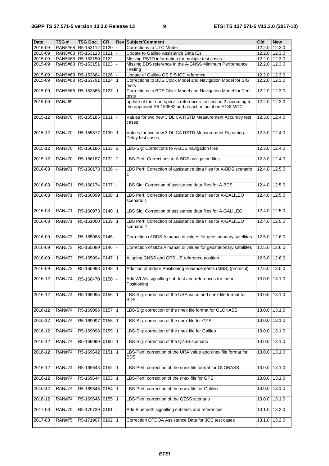| <b>Date</b> | TSG#          | TSG Doc.                   | <b>CR</b> |                 | <b>Rev Subject/Comment</b>                                                                                                  | Old           | <b>New</b> |
|-------------|---------------|----------------------------|-----------|-----------------|-----------------------------------------------------------------------------------------------------------------------------|---------------|------------|
| 2015-09     |               | RAN5#68 R5-153112 0120     |           |                 | <b>Corrections to UTC Model</b>                                                                                             | 12.2.0        | 12.3.0     |
| 2015-09     |               | RAN5#68   R5-153113   0121 |           |                 | Update to Galileo Assistance Data IEs                                                                                       | 12.2.0        | 12.3.0     |
| 2015-09     |               | RAN5#68   R5-153150   0122 |           |                 | Missing RSTD information for multiple test cases                                                                            | 12.2.0 12.3.0 |            |
| 2015-09     |               | RAN5#68 R5-153151 0123     |           |                 | Missing BDS reference in the A-GNSS Minimum Performance<br>Testing                                                          | 12.2.0        | 12.3.0     |
| 2015-09     |               | RAN5#68 R5-153664 0126     |           |                 | Update of Galileo OS SIS ICD reference                                                                                      | 12.2.0        | 12.3.0     |
| 2015-09     |               | RAN5#68 R5-153791 0124 1   |           |                 | Corrections to BDS Clock Model and Navigation Model for SIG<br>tests                                                        | 12.2.0        | 12.3.0     |
| 2015-09     |               | RAN5#68 R5-153866 0127     |           | $\overline{11}$ | Corrections to BDS Clock Model and Navigation Model for Perf<br>tests                                                       | 12.2.0        | 12.3.0     |
| 2015-09     | <b>RAN#69</b> |                            |           |                 | update of the "non-specific references" in section 2 according to<br>the approved R5-153582 and an action point on ETSI MCC | 12.2.0        | 12.3.0     |
| 2015-12     | <b>RAN#70</b> | R5-155185 0131             |           | l =             | Values for two new 3 DL CA RSTD Measurement Accuracy test<br>cases                                                          | 12.3.0        | 12.4.0     |
| 2015-12     | <b>RAN#70</b> | R5-155877 0130 1           |           |                 | Values for two new 3 DL CA RSTD Measurement Reporting<br>Delay test cases                                                   | 12.3.0        | 12.4.0     |
| 2015-12     | <b>RAN#70</b> | R5-156186 0133 2           |           |                 | LBS-Sig: Corrections to A-BDS navigation files                                                                              | 12.3.0        | 12.4.0     |
| 2015-12     | <b>RAN#70</b> | R5-156187 0132 2           |           |                 | LBS-Perf: Corrections to A-BDS navigation files                                                                             | 12.3.0        | 12.4.0     |
| 2016-03     | <b>RAN#71</b> | R5-160173 0136             |           |                 | LBS Perf: Correction of assistance data files for A-BDS scenario                                                            | 12.4.0        | 12.5.0     |
| 2016-03     | <b>RAN#71</b> | R5-160174 0137 -           |           |                 | LBS Sig: Correction of assistance data files for A-BDS                                                                      | 12.4.0        | 12.5.0     |
| 2016-03     | <b>RAN#71</b> | R5-160899 0138             |           | l 1             | LBS Perf: Correction of assistance data files for A-GALILEO<br>scenario 1                                                   | 12.4.0        | 12.5.0     |
| 2016-03     | <b>RAN#71</b> | R5-160973 0140             |           | l 1             | LBS Sig: Correction of assistance data files for A-GALILEO                                                                  | 12.4.0        | 12.5.0     |
| 2016-03     | <b>RAN#71</b> | R5-161000 0139             |           | l 1             | LBS Perf: Correction of assistance data files for A-GALILEO<br>scenario 2                                                   | 12.4.0        | 12.5.0     |
| 2016-09     | <b>RAN#73</b> | R5-165088 0145             |           |                 | Correction of BDS Almanac di values for geostationary satellites                                                            | 12.5.0        | 12.6.0     |
| 2016-09     | <b>RAN#73</b> | R5-165089 0146             |           |                 | Correction of BDS Almanac di values for geostationary satellites                                                            | 12.5.0        | 12.6.0     |
| 2016-09     | <b>RAN#73</b> | R5-165994 0147 1           |           |                 | Aligning GNSS and GPS UE reference position                                                                                 | 12.5.0        | 12.6.0     |
| 2016-09     | <b>RAN#73</b> | R5-165998 0149             |           | $\vert$ 1       | Addition of Indoor Positioning Enhancements (MBS) (protocol)                                                                | 12.6.0        | 13.0.0     |
| 2016-12     | <b>RAN#74</b> | R5-168470 0150             |           |                 | Add WLAN signalling sub-test and references for Indoor<br>Positioning                                                       | 13.0.0        | 13.1.0     |
| 2016-12     | <b>RAN#74</b> | R5-169095 0156 1           |           |                 | LBS-Sig: correction of the URA value and rinex file format for<br>BDS                                                       | 13.0.0        | 13.1.0     |
| 2016-12     | <b>RAN#74</b> | R5-169096 0157             |           | $\vert$ 1       | LBS-Sig: correction of the rinex file format for GLONASS                                                                    | 13.0.0        | 13.1.0     |
| 2016-12     | <b>RAN#74</b> | R5-169097 0158             |           | $\vert$ 1       | LBS-Sig: correction of the rinex file for GPS                                                                               | 13.0.0        | 13.1.0     |
| 2016-12     | <b>RAN#74</b> | R5-169098 0159             |           | 1               | LBS-Sig: correction of the rinex file for Galileo                                                                           | 13.0.0        | 13.1.0     |
| 2016-12     | <b>RAN#74</b> | R5-169099 0160             |           | $\vert$ 1       | LBS-Sig: correction of the QZSS scenario                                                                                    | 13.0.0        | 13.1.0     |
| 2016-12     | <b>RAN#74</b> | R5-169642 0151             |           | $\vert$ 1       | LBS-Perf: correction of the URA value and rinex file format for<br>BDS                                                      | 13.0.0        | 13.1.0     |
| 2016-12     | <b>RAN#74</b> | R5-169643 0152 1           |           |                 | LBS-Perf: correction of the rinex file format for GLONASS                                                                   | 13.0.0        | 13.1.0     |
| 2016-12     | <b>RAN#74</b> | R5-169644 0153 1           |           |                 | LBS-Perf: correction of the rinex file for GPS                                                                              | 13.0.0        | 13.1.0     |
| 2016-12     | <b>RAN#74</b> | R5-169645 0154             |           | <u>  1</u>      | LBS-Perf: correction of the rinex file for Galileo                                                                          | 13.0.0        | 13.1.0     |
| 2016-12     | <b>RAN#74</b> | R5-169646 0155             |           | $\vert$ 1       | LBS-Perf: correction of the QZSS scenario                                                                                   | 13.0.0        | 13.1.0     |
| 2017-03     | <b>RAN#75</b> | R5-170739 0161             |           |                 | Add Bluetooth signalling subtests and references                                                                            | 13.1.0        | 13.2.0     |
| 2017-03     | <b>RAN#75</b> | R5-171907 0162 1           |           |                 | Correction OTDOA Assistance Data for 3CC test cases                                                                         | 13.1.0        | 13.2.0     |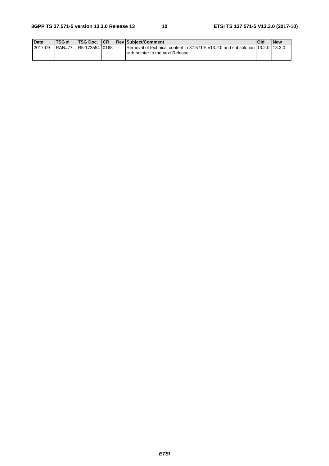| <b>Date</b> | TSG#   | <b>ITSG Doc. ICR</b> |  | <b>ReviSubiect/Comment</b>                                                                                           | Old | <b>New</b> |
|-------------|--------|----------------------|--|----------------------------------------------------------------------------------------------------------------------|-----|------------|
| 2017-09     | RAN#77 | IR5-173554 0168 I-   |  | Removal of technical content in 37.571-5 v13.2.0 and substitution 13.2.0 113.3.0<br>with pointer to the next Release |     |            |